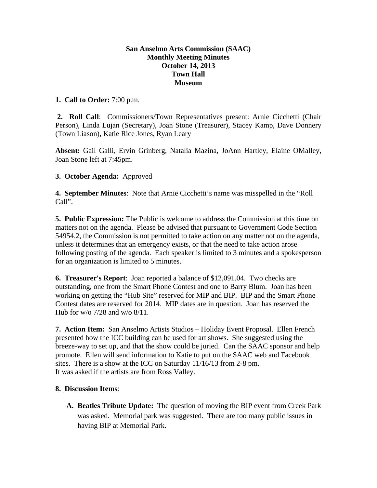## **San Anselmo Arts Commission (SAAC) Monthly Meeting Minutes October 14, 2013 Town Hall Museum**

## **1. Call to Order:** 7:00 p.m.

 **2. Roll Call**: Commissioners/Town Representatives present: Arnie Cicchetti (Chair Person), Linda Lujan (Secretary), Joan Stone (Treasurer), Stacey Kamp, Dave Donnery (Town Liason), Katie Rice Jones, Ryan Leary

**Absent:** Gail Galli, Ervin Grinberg, Natalia Mazina, JoAnn Hartley, Elaine OMalley, Joan Stone left at 7:45pm.

## **3. October Agenda:** Approved

**4. September Minutes**: Note that Arnie Cicchetti's name was misspelled in the "Roll Call".

**5. Public Expression:** The Public is welcome to address the Commission at this time on matters not on the agenda. Please be advised that pursuant to Government Code Section 54954.2, the Commission is not permitted to take action on any matter not on the agenda, unless it determines that an emergency exists, or that the need to take action arose following posting of the agenda. Each speaker is limited to 3 minutes and a spokesperson for an organization is limited to 5 minutes.

**6. Treasurer's Report**: Joan reported a balance of \$12,091.04. Two checks are outstanding, one from the Smart Phone Contest and one to Barry Blum. Joan has been working on getting the "Hub Site" reserved for MIP and BIP. BIP and the Smart Phone Contest dates are reserved for 2014. MIP dates are in question. Joan has reserved the Hub for w/o 7/28 and w/o 8/11.

**7. Action Item:** San Anselmo Artists Studios – Holiday Event Proposal. Ellen French presented how the ICC building can be used for art shows. She suggested using the breeze-way to set up, and that the show could be juried. Can the SAAC sponsor and help promote. Ellen will send information to Katie to put on the SAAC web and Facebook sites. There is a show at the ICC on Saturday 11/16/13 from 2-8 pm. It was asked if the artists are from Ross Valley.

## **8. Discussion Items**:

**A. Beatles Tribute Update:** The question of moving the BIP event from Creek Park was asked. Memorial park was suggested. There are too many public issues in having BIP at Memorial Park.